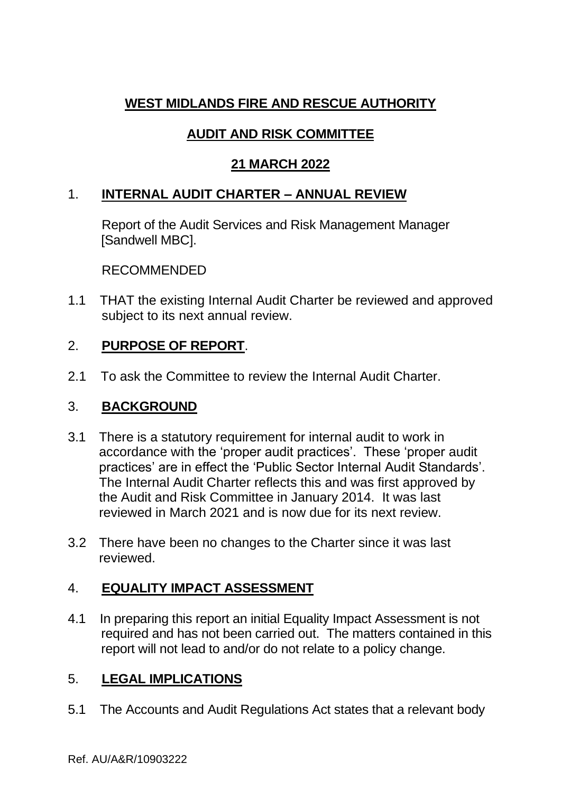# **WEST MIDLANDS FIRE AND RESCUE AUTHORITY**

# **AUDIT AND RISK COMMITTEE**

# **21 MARCH 2022**

# 1. **INTERNAL AUDIT CHARTER – ANNUAL REVIEW**

Report of the Audit Services and Risk Management Manager [Sandwell MBC].

#### RECOMMENDED

1.1 THAT the existing Internal Audit Charter be reviewed and approved subject to its next annual review.

# 2. **PURPOSE OF REPORT**.

2.1 To ask the Committee to review the Internal Audit Charter.

#### 3. **BACKGROUND**

- 3.1 There is a statutory requirement for internal audit to work in accordance with the 'proper audit practices'. These 'proper audit practices' are in effect the 'Public Sector Internal Audit Standards'. The Internal Audit Charter reflects this and was first approved by the Audit and Risk Committee in January 2014. It was last reviewed in March 2021 and is now due for its next review.
- 3.2 There have been no changes to the Charter since it was last reviewed.

# 4. **EQUALITY IMPACT ASSESSMENT**

4.1 In preparing this report an initial Equality Impact Assessment is not required and has not been carried out. The matters contained in this report will not lead to and/or do not relate to a policy change.

# 5. **LEGAL IMPLICATIONS**

5.1 The Accounts and Audit Regulations Act states that a relevant body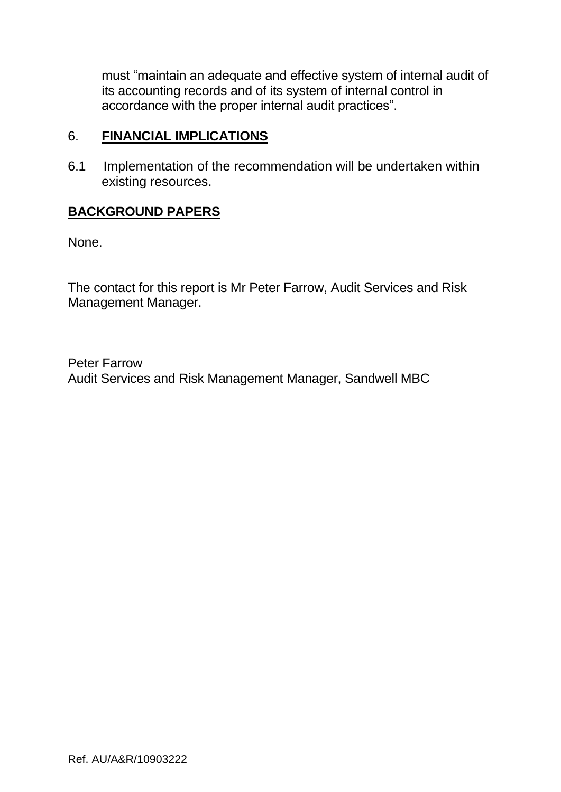must "maintain an adequate and effective system of internal audit of its accounting records and of its system of internal control in accordance with the proper internal audit practices".

#### 6. **FINANCIAL IMPLICATIONS**

6.1 Implementation of the recommendation will be undertaken within existing resources.

# **BACKGROUND PAPERS**

None.

The contact for this report is Mr Peter Farrow, Audit Services and Risk Management Manager.

Peter Farrow Audit Services and Risk Management Manager, Sandwell MBC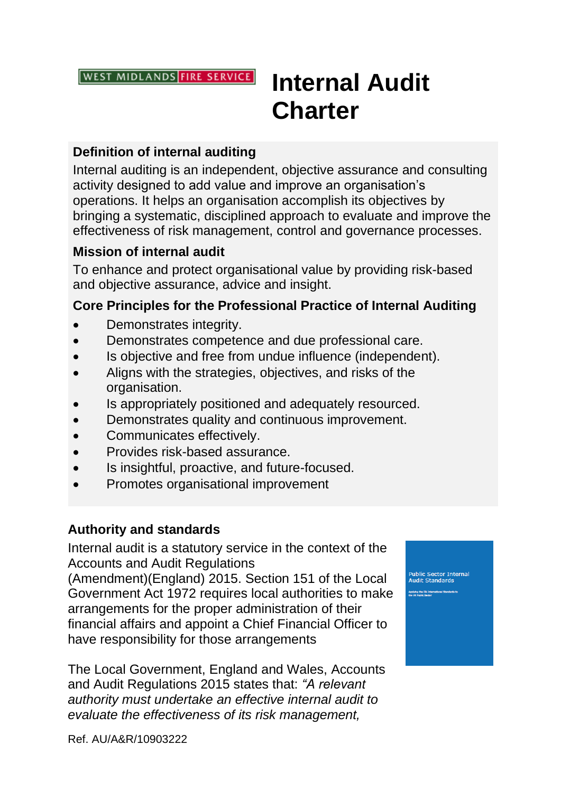**WEST MIDLANDS FIRE SERVICE** 

# **Internal Audit Charter**

### **Definition of internal auditing**

Internal auditing is an independent, objective assurance and consulting activity designed to add value and improve an organisation's operations. It helps an organisation accomplish its objectives by bringing a systematic, disciplined approach to evaluate and improve the effectiveness of risk management, control and governance processes.

#### **Mission of internal audit**

To enhance and protect organisational value by providing risk-based and objective assurance, advice and insight.

#### **Core Principles for the Professional Practice of Internal Auditing**

- Demonstrates integrity.
- Demonstrates competence and due professional care.
- Is objective and free from undue influence (independent).
- Aligns with the strategies, objectives, and risks of the organisation.
- Is appropriately positioned and adequately resourced.
- Demonstrates quality and continuous improvement.
- Communicates effectively.
- Provides risk-based assurance.
- Is insightful, proactive, and future-focused.
- Promotes organisational improvement

#### **Authority and standards**

Internal audit is a statutory service in the context of the Accounts and Audit Regulations

(Amendment)(England) 2015. Section 151 of the Local Government Act 1972 requires local authorities to make arrangements for the proper administration of their financial affairs and appoint a Chief Financial Officer to have responsibility for those arrangements

The Local Government, England and Wales, Accounts and Audit Regulations 2015 states that: *"A relevant authority must undertake an effective internal audit to evaluate the effectiveness of its risk management,* 

.<br>Public Sector Internal<br>Audit Standards

Ref. AU/A&R/10903222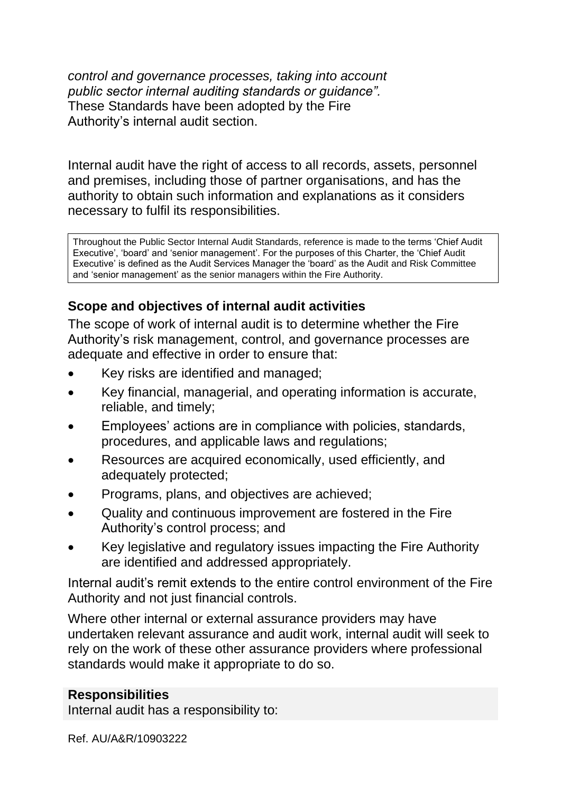*control and governance processes, taking into account public sector internal auditing standards or guidance".*  These Standards have been adopted by the Fire Authority's internal audit section.

Internal audit have the right of access to all records, assets, personnel and premises, including those of partner organisations, and has the authority to obtain such information and explanations as it considers necessary to fulfil its responsibilities.

Throughout the Public Sector Internal Audit Standards, reference is made to the terms 'Chief Audit Executive', 'board' and 'senior management'. For the purposes of this Charter, the 'Chief Audit Executive' is defined as the Audit Services Manager the 'board' as the Audit and Risk Committee and 'senior management' as the senior managers within the Fire Authority.

# **Scope and objectives of internal audit activities**

The scope of work of internal audit is to determine whether the Fire Authority's risk management, control, and governance processes are adequate and effective in order to ensure that:

- Key risks are identified and managed;
- Key financial, managerial, and operating information is accurate, reliable, and timely;
- Employees' actions are in compliance with policies, standards, procedures, and applicable laws and regulations;
- Resources are acquired economically, used efficiently, and adequately protected;
- Programs, plans, and objectives are achieved;
- Quality and continuous improvement are fostered in the Fire Authority's control process; and
- Key legislative and regulatory issues impacting the Fire Authority are identified and addressed appropriately.

Internal audit's remit extends to the entire control environment of the Fire Authority and not just financial controls.

Where other internal or external assurance providers may have undertaken relevant assurance and audit work, internal audit will seek to rely on the work of these other assurance providers where professional standards would make it appropriate to do so.

#### **Responsibilities**

Internal audit has a responsibility to: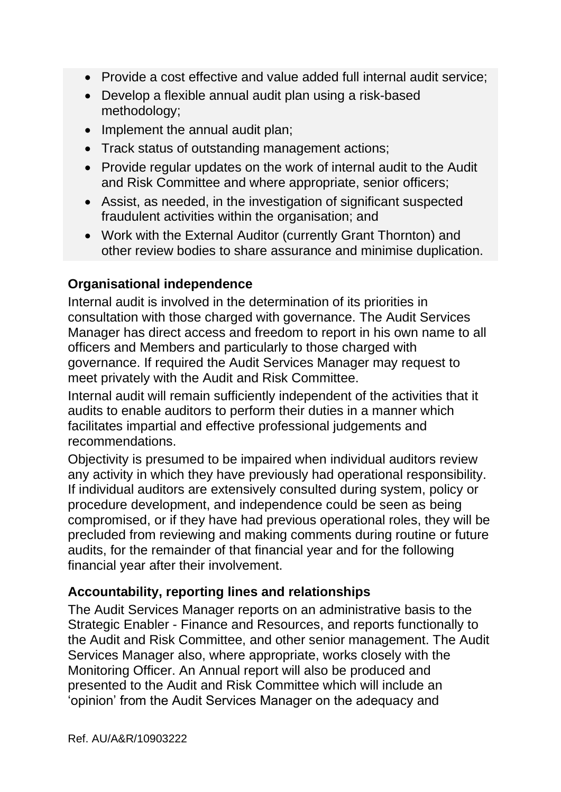- Provide a cost effective and value added full internal audit service;
- Develop a flexible annual audit plan using a risk-based methodology;
- Implement the annual audit plan:
- Track status of outstanding management actions;
- Provide regular updates on the work of internal audit to the Audit and Risk Committee and where appropriate, senior officers;
- Assist, as needed, in the investigation of significant suspected fraudulent activities within the organisation; and
- Work with the External Auditor (currently Grant Thornton) and other review bodies to share assurance and minimise duplication.

#### **Organisational independence**

Internal audit is involved in the determination of its priorities in consultation with those charged with governance. The Audit Services Manager has direct access and freedom to report in his own name to all officers and Members and particularly to those charged with governance. If required the Audit Services Manager may request to meet privately with the Audit and Risk Committee.

Internal audit will remain sufficiently independent of the activities that it audits to enable auditors to perform their duties in a manner which facilitates impartial and effective professional judgements and recommendations.

Objectivity is presumed to be impaired when individual auditors review any activity in which they have previously had operational responsibility. If individual auditors are extensively consulted during system, policy or procedure development, and independence could be seen as being compromised, or if they have had previous operational roles, they will be precluded from reviewing and making comments during routine or future audits, for the remainder of that financial year and for the following financial year after their involvement.

#### **Accountability, reporting lines and relationships**

The Audit Services Manager reports on an administrative basis to the Strategic Enabler - Finance and Resources, and reports functionally to the Audit and Risk Committee, and other senior management. The Audit Services Manager also, where appropriate, works closely with the Monitoring Officer. An Annual report will also be produced and presented to the Audit and Risk Committee which will include an 'opinion' from the Audit Services Manager on the adequacy and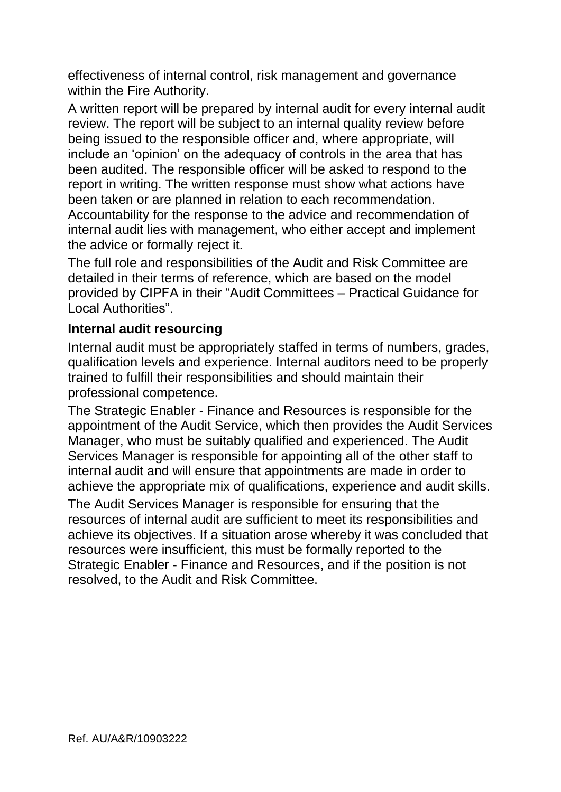effectiveness of internal control, risk management and governance within the Fire Authority.

A written report will be prepared by internal audit for every internal audit review. The report will be subject to an internal quality review before being issued to the responsible officer and, where appropriate, will include an 'opinion' on the adequacy of controls in the area that has been audited. The responsible officer will be asked to respond to the report in writing. The written response must show what actions have been taken or are planned in relation to each recommendation. Accountability for the response to the advice and recommendation of internal audit lies with management, who either accept and implement the advice or formally reject it.

The full role and responsibilities of the Audit and Risk Committee are detailed in their terms of reference, which are based on the model provided by CIPFA in their "Audit Committees – Practical Guidance for Local Authorities".

#### **Internal audit resourcing**

Internal audit must be appropriately staffed in terms of numbers, grades, qualification levels and experience. Internal auditors need to be properly trained to fulfill their responsibilities and should maintain their professional competence.

The Strategic Enabler - Finance and Resources is responsible for the appointment of the Audit Service, which then provides the Audit Services Manager, who must be suitably qualified and experienced. The Audit Services Manager is responsible for appointing all of the other staff to internal audit and will ensure that appointments are made in order to achieve the appropriate mix of qualifications, experience and audit skills.

The Audit Services Manager is responsible for ensuring that the resources of internal audit are sufficient to meet its responsibilities and achieve its objectives. If a situation arose whereby it was concluded that resources were insufficient, this must be formally reported to the Strategic Enabler - Finance and Resources, and if the position is not resolved, to the Audit and Risk Committee.